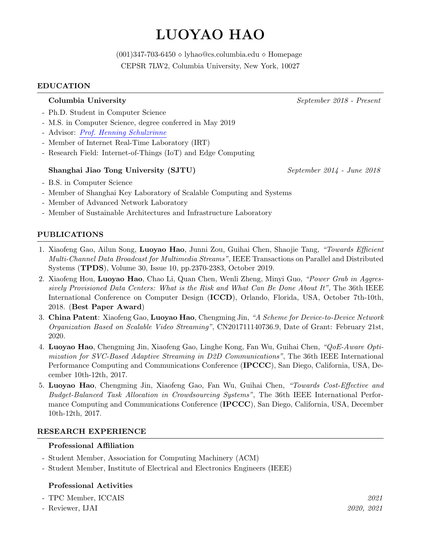# **LUOYAO HAO**

(001)347-703-6450 *⋄* [lyhao@cs.columbia.edu](mailto:lyhao@cs.columbia.edu) *⋄* [Homepage](http://www.cs.columbia.edu/~lyhao/) CEPSR 7LW2, Columbia University, New York, 10027

#### **EDUCATION**

#### **Columbia University** *September 2018 - Present*

- Ph.D. Student in Computer Science
- M.S. in Computer Science, degree conferred in May 2019
- Advisor: *Prof. Henning [Schulzrinne](http://www.cs.columbia.edu/~hgs/)*
- Member of Internet Real-Time Laboratory (IRT)
- Research Field: Internet-of-Things (IoT) and Edge Computing

#### **Shanghai Jiao Tong University (SJTU)** *September 2014 - June 2018*

- B.S. in Computer Science
- Member of Shanghai Key Laboratory of Scalable Computing and Systems
- Member of Advanced Network Laboratory
- Member of Sustainable Architectures and Infrastructure Laboratory

## **PUBLICATIONS**

- 1. Xiaofeng Gao, Ailun Song, **Luoyao Hao**, Junni Zou, Guihai Chen, Shaojie Tang, *"Towards Efficient Multi-Channel Data Broadcast for Multimedia Streams"*, IEEE Transactions on Parallel and Distributed Systems (**TPDS**), Volume 30, Issue 10, pp.2370-2383, October 2019.
- 2. Xiaofeng Hou, **Luoyao Hao**, Chao Li, Quan Chen, Wenli Zheng, Minyi Guo, *"Power Grab in Aggressively Provisioned Data Centers: What is the Risk and What Can Be Done About It"*, The 36th IEEE International Conference on Computer Design (**ICCD**), Orlando, Florida, USA, October 7th-10th, 2018. (**Best Paper Award**)
- 3. **China Patent**: Xiaofeng Gao, **Luoyao Hao**, Chengming Jin, *"A Scheme for Device-to-Device Network Organization Based on Scalable Video Streaming"*, CN201711140736.9, Date of Grant: February 21st, 2020.
- 4. **Luoyao Hao**, Chengming Jin, Xiaofeng Gao, Linghe Kong, Fan Wu, Guihai Chen, *"QoE-Aware Optimization for SVC-Based Adaptive Streaming in D2D Communications"*, The 36th IEEE International Performance Computing and Communications Conference (**IPCCC**), San Diego, California, USA, December 10th-12th, 2017.
- 5. **Luoyao Hao**, Chengming Jin, Xiaofeng Gao, Fan Wu, Guihai Chen, *"Towards Cost-Effective and Budget-Balanced Task Allocation in Crowdsourcing Systems"*, The 36th IEEE International Performance Computing and Communications Conference (**IPCCC**), San Diego, California, USA, December 10th-12th, 2017.

#### **RESEARCH EXPERIENCE**

#### **Professional Affiliation**

- Student Member, Association for Computing Machinery (ACM)
- Student Member, Institute of Electrical and Electronics Engineers (IEEE)

#### **Professional Activities**

- TPC Member, ICCAIS *2021*
- Reviewer, IJAI *2020, 2021*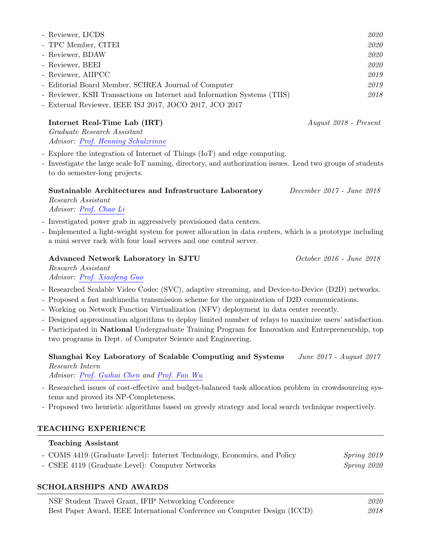| - Reviewer, IJCDS                                                        | 2020 |
|--------------------------------------------------------------------------|------|
| - TPC Member, CITEI                                                      | 2020 |
| - Reviewer, BDAW                                                         | 2020 |
| - Reviewer, BEEI                                                         | 2020 |
| - Reviewer, AIIPCC                                                       | 2019 |
| - Editorial Board Member, SCIREA Journal of Computer                     | 2019 |
| - Reviewer, KSII Transactions on Internet and Information Systems (TIIS) | 2018 |
| - External Reviewer, IEEE ISJ 2017, JOCO 2017, JCO 2017                  |      |

| Internet Real-Time Lab (IRT) |
|------------------------------|
| Graduate Research Assistant  |

**Internet Real-Time Lab (IRT)** *August 2018 - Present*

*Advisor: Prof. Henning [Schulzrinne](http://www.cs.columbia.edu/~hgs/)*

- Explore the integration of Internet of Things (IoT) and edge computing.
- Investigate the large scale IoT naming, directory, and authorization issues. Lead two groups of students to do semester-long projects.

**Sustainable Architectures and Infrastructure Laboratory** *December 2017 - June 2018 Research Assistant*

*Advisor: Prof. [Chao](http://www.cs.sjtu.edu.cn/~lichao/services.html) Li*

- Investigated power grab in aggressively provisioned data centers.
- Implemented a light-weight system for power allocation in data centers, which is a prototype including a mini server rack with four load servers and one control server.

# **Advanced Network Laboratory in SJTU** *October 2016 - June 2018*

*Research Assistant Advisor: Prof. [Xiaofeng](http://www.cs.sjtu.edu.cn/~gao-xf/) Gao*

- Researched Scalable Video Codec (SVC), adaptive streaming, and Device-to-Device (D2D) networks.
- Proposed a fast multimedia transmission scheme for the organization of D2D communications.
- Working on Network Function Virtualization (NFV) deployment in data center recently.
- Designed approximation algorithms to deploy limited number of relays to maximize users' satisfaction.
- Participated in **National** Undergraduate Training Program for Innovation and Entrepreneurship, top two programs in Dept. of Computer Science and Engineering.

# **Shanghai Key Laboratory of Scalable Computing and Systems** *June 2017 - August 2017 Research Intern*

*Advisor: Prof. [Guihai](https://cs.nju.edu.cn/gchen/) Chen and [Prof.](http://www.cs.sjtu.edu.cn/~fwu/index.html) Fan Wu*

- Researched issues of cost-effective and budget-balanced task allocation problem in crowdsourcing systems and proved its NP-Completeness.
- Proposed two heuristic algorithms based on greedy strategy and local search technique respectively.

# **TEACHING EXPERIENCE**

## **Teaching Assistant**

- COMS 4419 (Graduate Level): Internet Technology, Economics, and Policy *Spring 2019*

- CSEE 4119 (Graduate Level): Computer Networks *Spring 2020*

# **SCHOLARSHIPS AND AWARDS**

| NSF Student Travel Grant, IFIP Networking Conference                      |      |
|---------------------------------------------------------------------------|------|
| Best Paper Award, IEEE International Conference on Computer Design (ICCD) | 2018 |